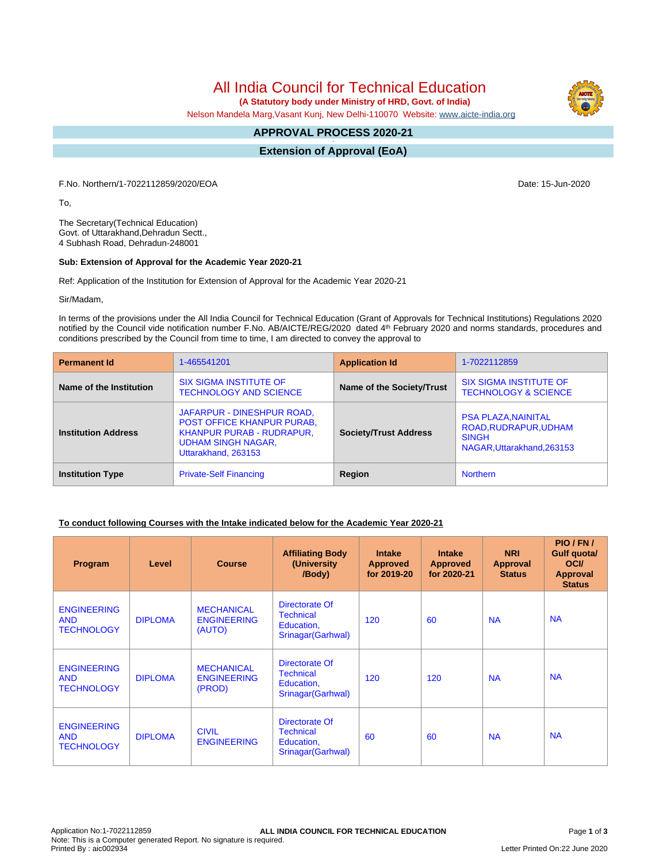# All India Council for Technical Education

 **(A Statutory body under Ministry of HRD, Govt. of India)**

Nelson Mandela Marg,Vasant Kunj, New Delhi-110070 Website: www.aicte-india.org

#### **APPROVAL PROCESS 2020-21 -**

**Extension of Approval (EoA)**

F.No. Northern/1-7022112859/2020/EOA Date: 15-Jun-2020

To,

The Secretary(Technical Education) Govt. of Uttarakhand,Dehradun Sectt., 4 Subhash Road, Dehradun-248001

#### **Sub: Extension of Approval for the Academic Year 2020-21**

Ref: Application of the Institution for Extension of Approval for the Academic Year 2020-21

Sir/Madam,

In terms of the provisions under the All India Council for Technical Education (Grant of Approvals for Technical Institutions) Regulations 2020 notified by the Council vide notification number F.No. AB/AICTE/REG/2020 dated 4<sup>th</sup> February 2020 and norms standards, procedures and conditions prescribed by the Council from time to time, I am directed to convey the approval to

| <b>Permanent Id</b>        | 1-465541201                                                                                                                                      | <b>Application Id</b>        | 1-7022112859                                                     |  |
|----------------------------|--------------------------------------------------------------------------------------------------------------------------------------------------|------------------------------|------------------------------------------------------------------|--|
| Name of the Institution    | <b>SIX SIGMA INSTITUTE OF</b><br><b>TECHNOLOGY AND SCIENCE</b>                                                                                   | Name of the Society/Trust    | <b>SIX SIGMA INSTITUTE OF</b><br><b>TECHNOLOGY &amp; SCIENCE</b> |  |
| <b>Institution Address</b> | JAFARPUR - DINESHPUR ROAD,<br><b>POST OFFICE KHANPUR PURAB.</b><br>KHANPUR PURAB - RUDRAPUR.<br><b>UDHAM SINGH NAGAR,</b><br>Uttarakhand, 263153 | <b>Society/Trust Address</b> |                                                                  |  |
| <b>Institution Type</b>    | <b>Private-Self Financing</b>                                                                                                                    | Region                       | <b>Northern</b>                                                  |  |

### **To conduct following Courses with the Intake indicated below for the Academic Year 2020-21**

| Program                                               | Level          | <b>Course</b>                                     | <b>Affiliating Body</b><br>(University<br>/Body)                       | <b>Intake</b><br><b>Approved</b><br>for 2019-20 | <b>Intake</b><br><b>Approved</b><br>for 2020-21 | <b>NRI</b><br>Approval<br><b>Status</b> | PIO/FN/<br>Gulf quota/<br><b>OCI</b><br><b>Approval</b><br><b>Status</b> |
|-------------------------------------------------------|----------------|---------------------------------------------------|------------------------------------------------------------------------|-------------------------------------------------|-------------------------------------------------|-----------------------------------------|--------------------------------------------------------------------------|
| <b>ENGINEERING</b><br><b>AND</b><br><b>TECHNOLOGY</b> | <b>DIPLOMA</b> | <b>MECHANICAL</b><br><b>ENGINEERING</b><br>(AUTO) | Directorate Of<br><b>Technical</b><br>Education,<br>Srinagar (Garhwal) | 120                                             | 60                                              | <b>NA</b>                               | <b>NA</b>                                                                |
| <b>ENGINEERING</b><br><b>AND</b><br><b>TECHNOLOGY</b> | <b>DIPLOMA</b> | <b>MECHANICAL</b><br><b>ENGINEERING</b><br>(PROD) | Directorate Of<br><b>Technical</b><br>Education,<br>Srinagar (Garhwal) | 120                                             | 120                                             | <b>NA</b>                               | <b>NA</b>                                                                |
| <b>ENGINEERING</b><br><b>AND</b><br><b>TECHNOLOGY</b> | <b>DIPLOMA</b> | <b>CIVIL</b><br><b>ENGINEERING</b>                | Directorate Of<br><b>Technical</b><br>Education,<br>Srinagar (Garhwal) | 60                                              | 60                                              | <b>NA</b>                               | <b>NA</b>                                                                |

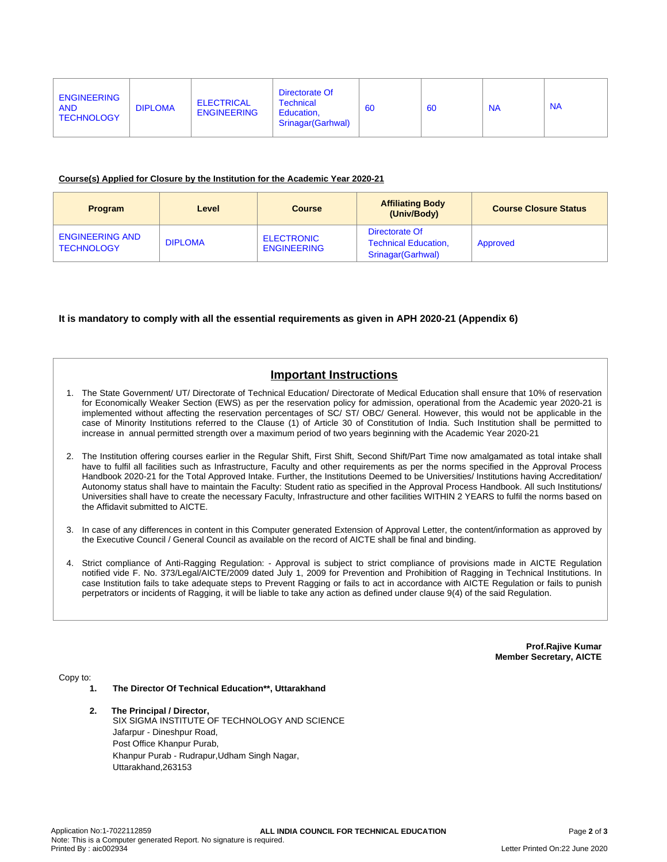#### **Course(s) Applied for Closure by the Institution for the Academic Year 2020-21**

| <b>Program</b>                              | Level          | Course                                  | <b>Affiliating Body</b><br>(Univ/Body)                              | <b>Course Closure Status</b> |
|---------------------------------------------|----------------|-----------------------------------------|---------------------------------------------------------------------|------------------------------|
| <b>ENGINEERING AND</b><br><b>TECHNOLOGY</b> | <b>DIPLOMA</b> | <b>ELECTRONIC</b><br><b>ENGINEERING</b> | Directorate Of<br><b>Technical Education,</b><br>Srinagar (Garhwal) | Approved                     |

### **It is mandatory to comply with all the essential requirements as given in APH 2020-21 (Appendix 6)**

## **Important Instructions**

- 1. The State Government/ UT/ Directorate of Technical Education/ Directorate of Medical Education shall ensure that 10% of reservation for Economically Weaker Section (EWS) as per the reservation policy for admission, operational from the Academic year 2020-21 is implemented without affecting the reservation percentages of SC/ ST/ OBC/ General. However, this would not be applicable in the case of Minority Institutions referred to the Clause (1) of Article 30 of Constitution of India. Such Institution shall be permitted to increase in annual permitted strength over a maximum period of two years beginning with the Academic Year 2020-21
- 2. The Institution offering courses earlier in the Regular Shift, First Shift, Second Shift/Part Time now amalgamated as total intake shall have to fulfil all facilities such as Infrastructure, Faculty and other requirements as per the norms specified in the Approval Process Handbook 2020-21 for the Total Approved Intake. Further, the Institutions Deemed to be Universities/ Institutions having Accreditation/ Autonomy status shall have to maintain the Faculty: Student ratio as specified in the Approval Process Handbook. All such Institutions/ Universities shall have to create the necessary Faculty, Infrastructure and other facilities WITHIN 2 YEARS to fulfil the norms based on the Affidavit submitted to AICTE.
- 3. In case of any differences in content in this Computer generated Extension of Approval Letter, the content/information as approved by the Executive Council / General Council as available on the record of AICTE shall be final and binding.
- 4. Strict compliance of Anti-Ragging Regulation: Approval is subject to strict compliance of provisions made in AICTE Regulation notified vide F. No. 373/Legal/AICTE/2009 dated July 1, 2009 for Prevention and Prohibition of Ragging in Technical Institutions. In case Institution fails to take adequate steps to Prevent Ragging or fails to act in accordance with AICTE Regulation or fails to punish perpetrators or incidents of Ragging, it will be liable to take any action as defined under clause 9(4) of the said Regulation.

**Prof.Rajive Kumar Member Secretary, AICTE**

Copy to:

- **1. The Director Of Technical Education\*\*, Uttarakhand**
- **2. The Principal / Director,** SIX SIGMA INSTITUTE OF TECHNOLOGY AND SCIENCE Jafarpur - Dineshpur Road, Post Office Khanpur Purab, Khanpur Purab - Rudrapur,Udham Singh Nagar, Uttarakhand,263153